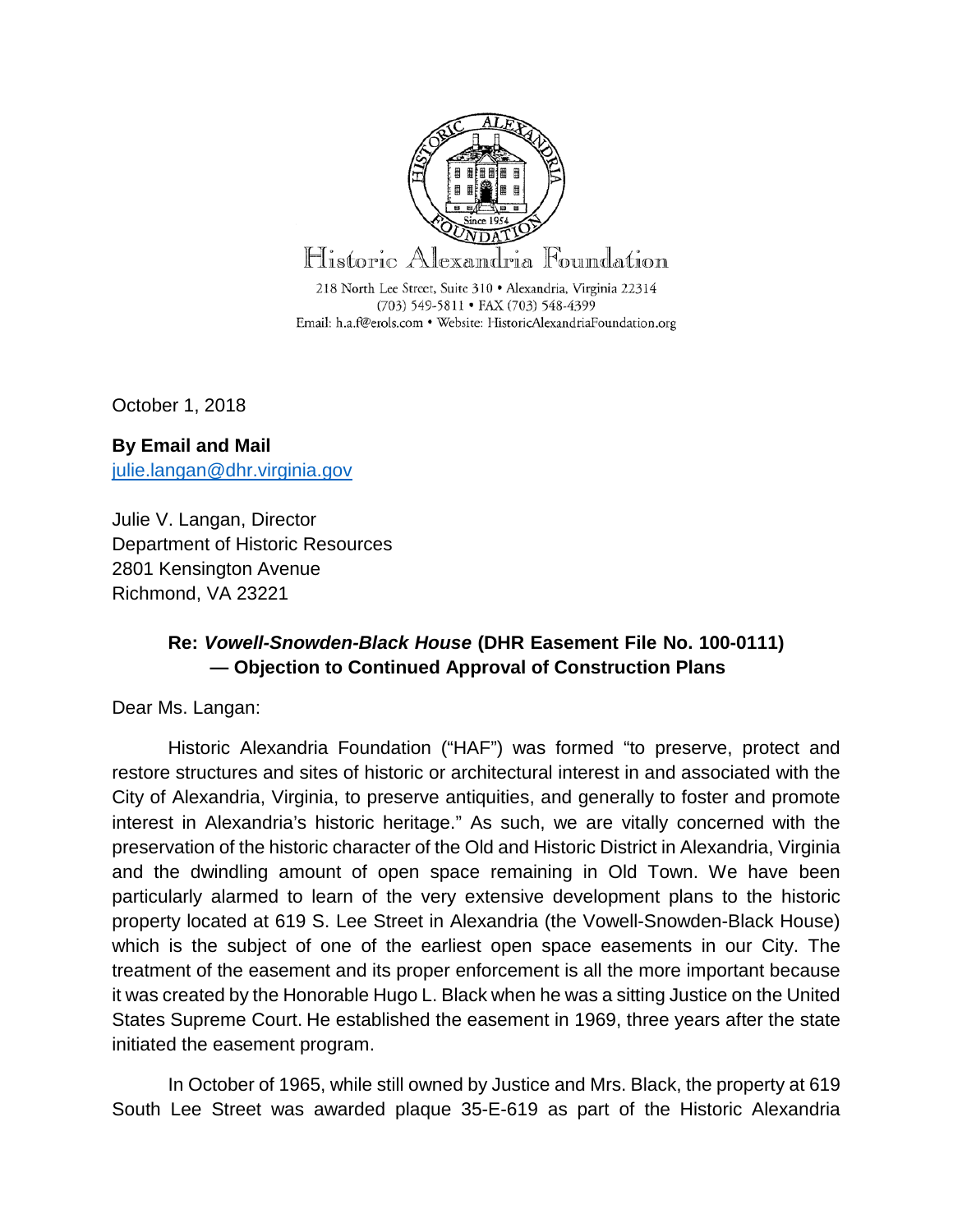

October 1, 2018

**By Email and Mail** [julie.langan@dhr.virginia.gov](mailto:julie.langan@dhr.virginia.gov)

Julie V. Langan, Director Department of Historic Resources 2801 Kensington Avenue Richmond, VA 23221

#### **Re:** *Vowell-Snowden-Black House* **(DHR Easement File No. 100-0111) — Objection to Continued Approval of Construction Plans**

Dear Ms. Langan:

Historic Alexandria Foundation ("HAF") was formed "to preserve, protect and restore structures and sites of historic or architectural interest in and associated with the City of Alexandria, Virginia, to preserve antiquities, and generally to foster and promote interest in Alexandria's historic heritage." As such, we are vitally concerned with the preservation of the historic character of the Old and Historic District in Alexandria, Virginia and the dwindling amount of open space remaining in Old Town. We have been particularly alarmed to learn of the very extensive development plans to the historic property located at 619 S. Lee Street in Alexandria (the Vowell-Snowden-Black House) which is the subject of one of the earliest open space easements in our City. The treatment of the easement and its proper enforcement is all the more important because it was created by the Honorable Hugo L. Black when he was a sitting Justice on the United States Supreme Court. He established the easement in 1969, three years after the state initiated the easement program.

In October of 1965, while still owned by Justice and Mrs. Black, the property at 619 South Lee Street was awarded plaque 35-E-619 as part of the Historic Alexandria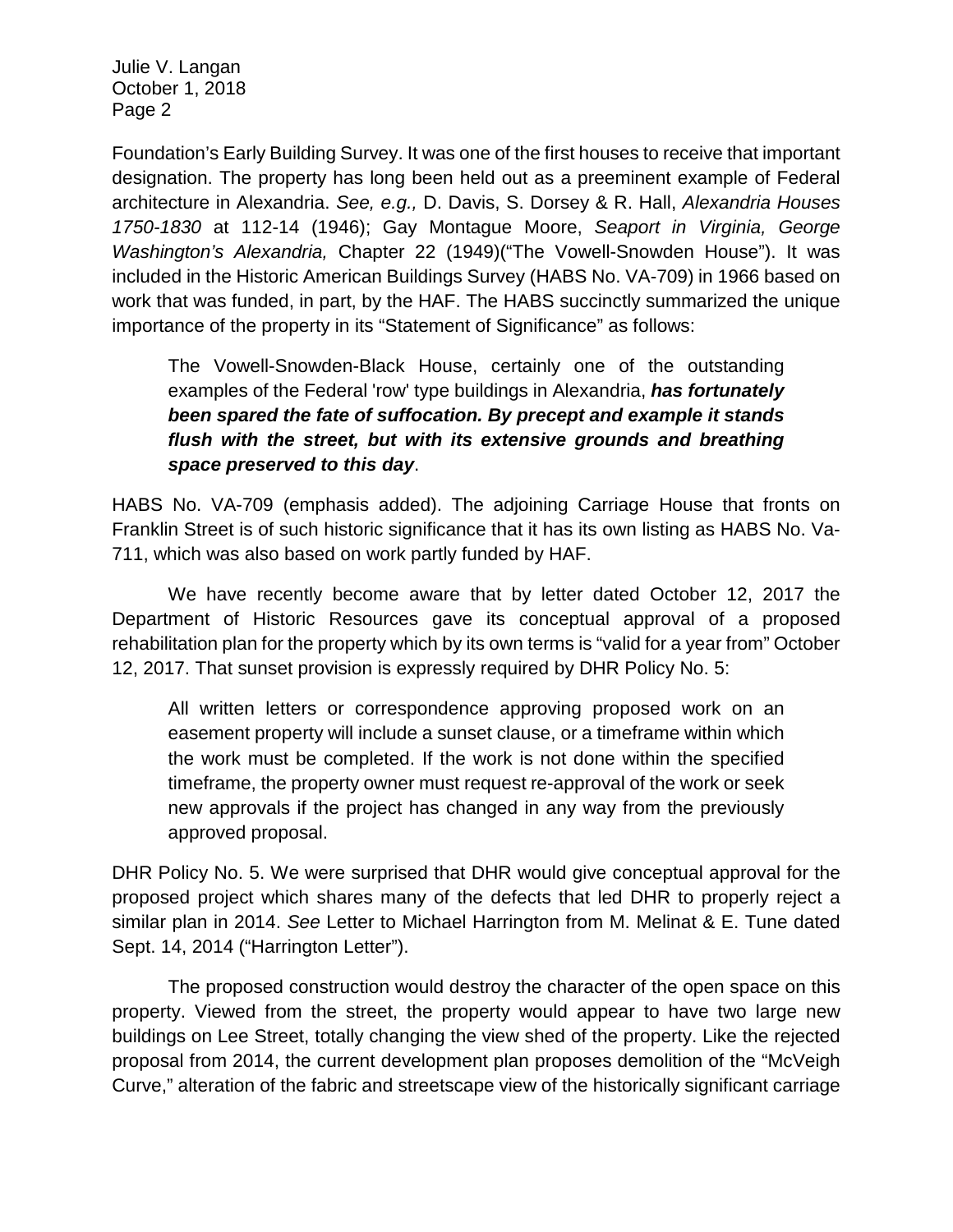Foundation's Early Building Survey. It was one of the first houses to receive that important designation. The property has long been held out as a preeminent example of Federal architecture in Alexandria. *See, e.g.,* D. Davis, S. Dorsey & R. Hall, *Alexandria Houses 1750-1830* at 112-14 (1946); Gay Montague Moore, *Seaport in Virginia, George Washington's Alexandria,* Chapter 22 (1949)("The Vowell-Snowden House"). It was included in the Historic American Buildings Survey (HABS No. VA-709) in 1966 based on work that was funded, in part, by the HAF. The HABS succinctly summarized the unique importance of the property in its "Statement of Significance" as follows:

The Vowell-Snowden-Black House, certainly one of the outstanding examples of the Federal 'row' type buildings in Alexandria, *has fortunately been spared the fate of suffocation. By precept and example it stands flush with the street, but with its extensive grounds and breathing space preserved to this day*.

HABS No. VA-709 (emphasis added). The adjoining Carriage House that fronts on Franklin Street is of such historic significance that it has its own listing as HABS No. Va-711, which was also based on work partly funded by HAF.

We have recently become aware that by letter dated October 12, 2017 the Department of Historic Resources gave its conceptual approval of a proposed rehabilitation plan for the property which by its own terms is "valid for a year from" October 12, 2017. That sunset provision is expressly required by DHR Policy No. 5:

All written letters or correspondence approving proposed work on an easement property will include a sunset clause, or a timeframe within which the work must be completed. If the work is not done within the specified timeframe, the property owner must request re-approval of the work or seek new approvals if the project has changed in any way from the previously approved proposal.

DHR Policy No. 5. We were surprised that DHR would give conceptual approval for the proposed project which shares many of the defects that led DHR to properly reject a similar plan in 2014. *See* Letter to Michael Harrington from M. Melinat & E. Tune dated Sept. 14, 2014 ("Harrington Letter").

The proposed construction would destroy the character of the open space on this property. Viewed from the street, the property would appear to have two large new buildings on Lee Street, totally changing the view shed of the property. Like the rejected proposal from 2014, the current development plan proposes demolition of the "McVeigh Curve," alteration of the fabric and streetscape view of the historically significant carriage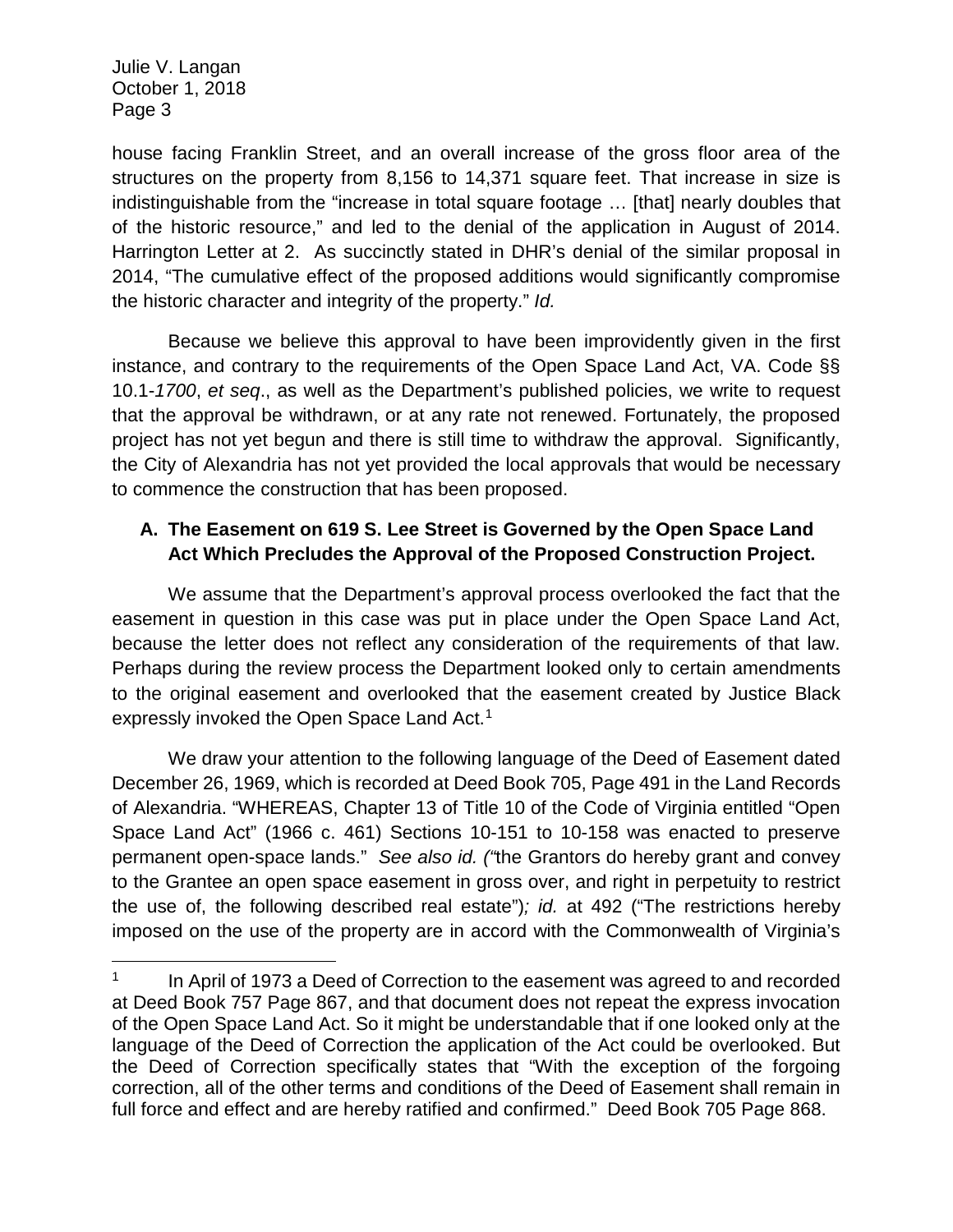l

house facing Franklin Street, and an overall increase of the gross floor area of the structures on the property from 8,156 to 14,371 square feet. That increase in size is indistinguishable from the "increase in total square footage … [that] nearly doubles that of the historic resource," and led to the denial of the application in August of 2014. Harrington Letter at 2. As succinctly stated in DHR's denial of the similar proposal in 2014, "The cumulative effect of the proposed additions would significantly compromise the historic character and integrity of the property." *Id.*

Because we believe this approval to have been improvidently given in the first instance, and contrary to the requirements of the Open Space Land Act, VA. Code §§ 10.1-*1700*, *et seq*., as well as the Department's published policies, we write to request that the approval be withdrawn, or at any rate not renewed. Fortunately, the proposed project has not yet begun and there is still time to withdraw the approval. Significantly, the City of Alexandria has not yet provided the local approvals that would be necessary to commence the construction that has been proposed.

## **A. The Easement on 619 S. Lee Street is Governed by the Open Space Land Act Which Precludes the Approval of the Proposed Construction Project.**

We assume that the Department's approval process overlooked the fact that the easement in question in this case was put in place under the Open Space Land Act, because the letter does not reflect any consideration of the requirements of that law. Perhaps during the review process the Department looked only to certain amendments to the original easement and overlooked that the easement created by Justice Black expressly invoked the Open Space Land Act.<sup>[1](#page-2-0)</sup>

We draw your attention to the following language of the Deed of Easement dated December 26, 1969, which is recorded at Deed Book 705, Page 491 in the Land Records of Alexandria. "WHEREAS, Chapter 13 of Title 10 of the Code of Virginia entitled "Open Space Land Act" (1966 c. 461) Sections 10-151 to 10-158 was enacted to preserve permanent open-space lands." *See also id. ("*the Grantors do hereby grant and convey to the Grantee an open space easement in gross over, and right in perpetuity to restrict the use of, the following described real estate")*; id.* at 492 ("The restrictions hereby imposed on the use of the property are in accord with the Commonwealth of Virginia's

<span id="page-2-0"></span> $1$  In April of 1973 a Deed of Correction to the easement was agreed to and recorded at Deed Book 757 Page 867, and that document does not repeat the express invocation of the Open Space Land Act. So it might be understandable that if one looked only at the language of the Deed of Correction the application of the Act could be overlooked. But the Deed of Correction specifically states that "With the exception of the forgoing correction, all of the other terms and conditions of the Deed of Easement shall remain in full force and effect and are hereby ratified and confirmed." Deed Book 705 Page 868.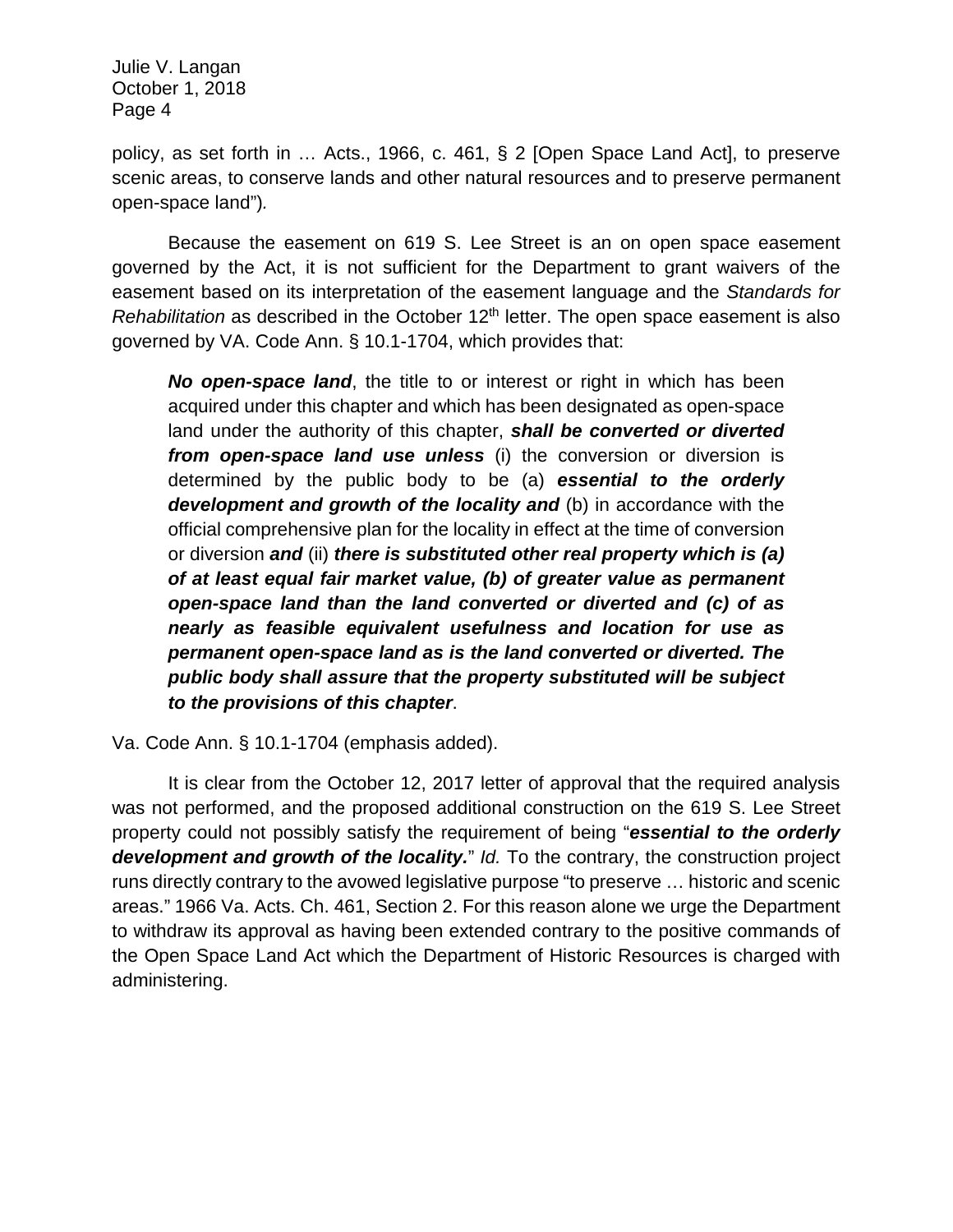policy, as set forth in … Acts., 1966, c. 461, § 2 [Open Space Land Act], to preserve scenic areas, to conserve lands and other natural resources and to preserve permanent open-space land")*.*

Because the easement on 619 S. Lee Street is an on open space easement governed by the Act, it is not sufficient for the Department to grant waivers of the easement based on its interpretation of the easement language and the *Standards for Rehabilitation* as described in the October 12<sup>th</sup> letter. The open space easement is also governed by VA. Code Ann. § 10.1-1704, which provides that:

*No open-space land*, the title to or interest or right in which has been acquired under this chapter and which has been designated as open-space land under the authority of this chapter, *shall be converted or diverted from open-space land use unless* (i) the conversion or diversion is determined by the public body to be (a) *essential to the orderly development and growth of the locality and* (b) in accordance with the official comprehensive plan for the locality in effect at the time of conversion or diversion *and* (ii) *there is substituted other real property which is (a) of at least equal fair market value, (b) of greater value as permanent open-space land than the land converted or diverted and (c) of as nearly as feasible equivalent usefulness and location for use as permanent open-space land as is the land converted or diverted. The public body shall assure that the property substituted will be subject to the provisions of this chapter*.

Va. Code Ann. § 10.1-1704 (emphasis added).

It is clear from the October 12, 2017 letter of approval that the required analysis was not performed, and the proposed additional construction on the 619 S. Lee Street property could not possibly satisfy the requirement of being "*essential to the orderly development and growth of the locality.*" *Id.* To the contrary, the construction project runs directly contrary to the avowed legislative purpose "to preserve … historic and scenic areas." 1966 Va. Acts. Ch. 461, Section 2. For this reason alone we urge the Department to withdraw its approval as having been extended contrary to the positive commands of the Open Space Land Act which the Department of Historic Resources is charged with administering.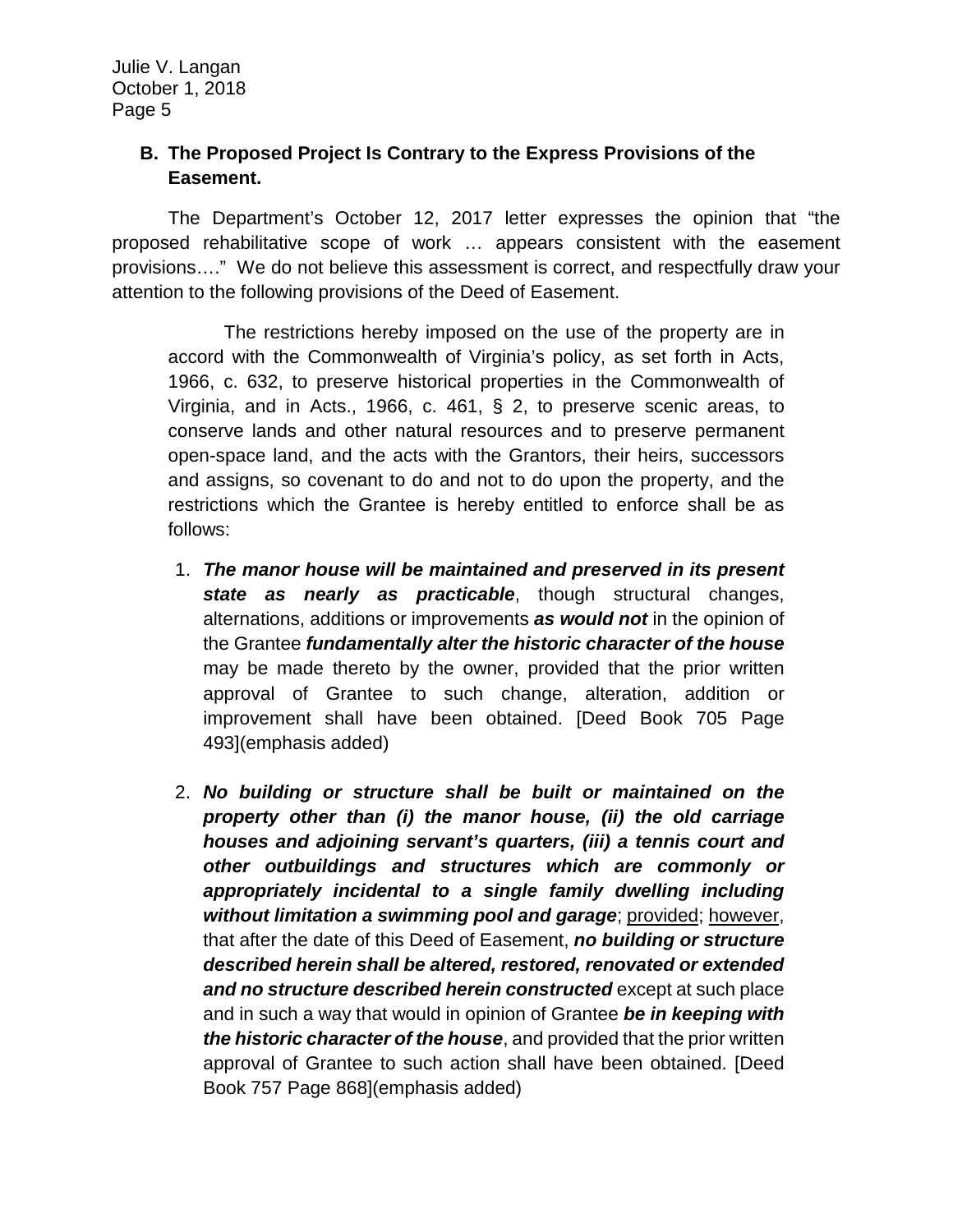#### **B. The Proposed Project Is Contrary to the Express Provisions of the Easement.**

The Department's October 12, 2017 letter expresses the opinion that "the proposed rehabilitative scope of work … appears consistent with the easement provisions…." We do not believe this assessment is correct, and respectfully draw your attention to the following provisions of the Deed of Easement.

The restrictions hereby imposed on the use of the property are in accord with the Commonwealth of Virginia's policy, as set forth in Acts, 1966, c. 632, to preserve historical properties in the Commonwealth of Virginia, and in Acts., 1966, c. 461, § 2, to preserve scenic areas, to conserve lands and other natural resources and to preserve permanent open-space land, and the acts with the Grantors, their heirs, successors and assigns, so covenant to do and not to do upon the property, and the restrictions which the Grantee is hereby entitled to enforce shall be as follows:

- 1. *The manor house will be maintained and preserved in its present state as nearly as practicable*, though structural changes, alternations, additions or improvements *as would not* in the opinion of the Grantee *fundamentally alter the historic character of the house* may be made thereto by the owner, provided that the prior written approval of Grantee to such change, alteration, addition or improvement shall have been obtained. [Deed Book 705 Page 493](emphasis added)
- 2. *No building or structure shall be built or maintained on the property other than (i) the manor house, (ii) the old carriage houses and adjoining servant's quarters, (iii) a tennis court and other outbuildings and structures which are commonly or*  appropriately incidental to a single family dwelling including *without limitation a swimming pool and garage*; provided; however, that after the date of this Deed of Easement, *no building or structure described herein shall be altered, restored, renovated or extended and no structure described herein constructed* except at such place and in such a way that would in opinion of Grantee *be in keeping with the historic character of the house*, and provided that the prior written approval of Grantee to such action shall have been obtained. [Deed Book 757 Page 868](emphasis added)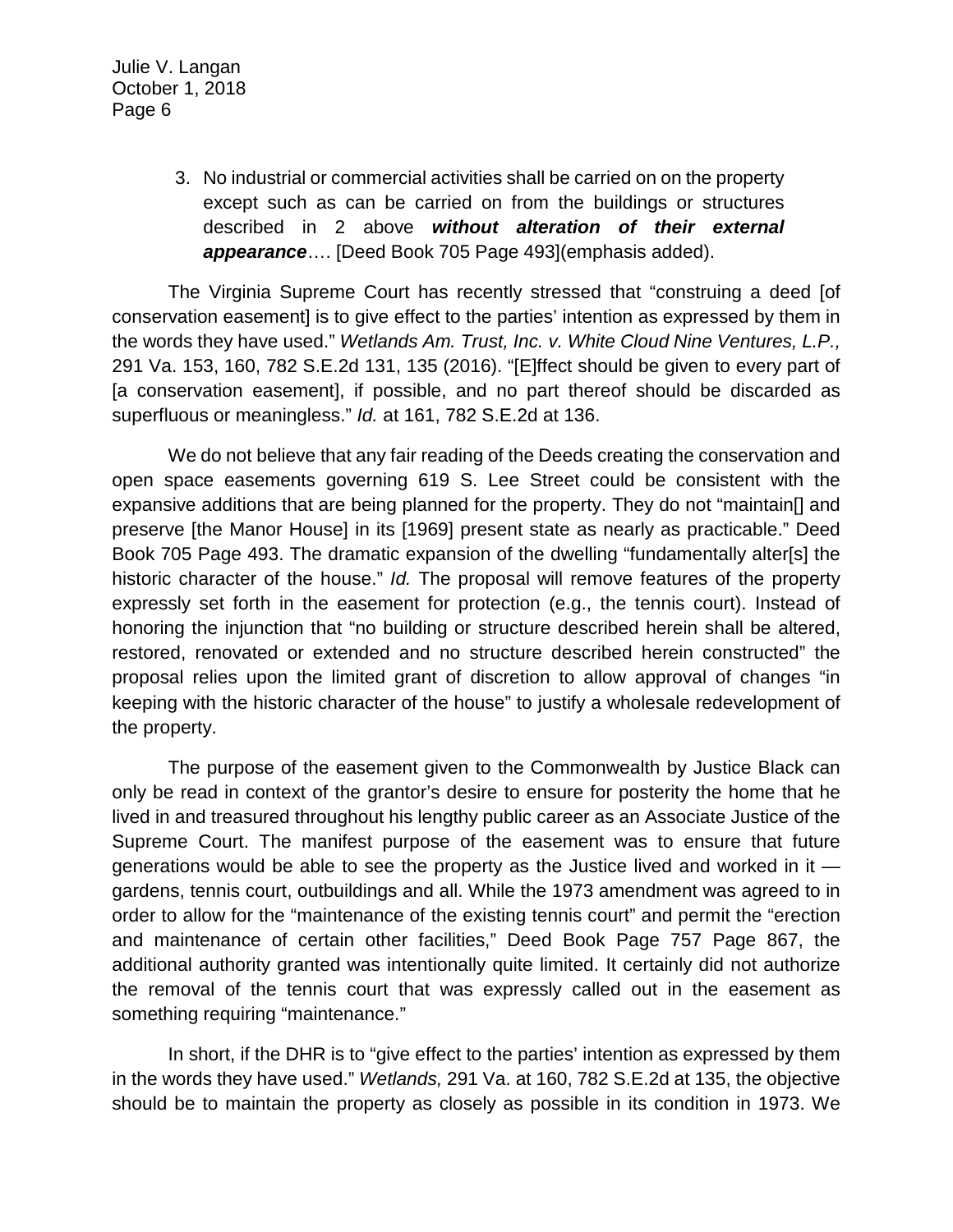> 3. No industrial or commercial activities shall be carried on on the property except such as can be carried on from the buildings or structures described in 2 above *without alteration of their external appearance*…. [Deed Book 705 Page 493](emphasis added).

The Virginia Supreme Court has recently stressed that "construing a deed [of conservation easement] is to give effect to the parties' intention as expressed by them in the words they have used." *Wetlands Am. Trust, Inc. v. White Cloud Nine Ventures, L.P.,*  291 Va. 153, 160, 782 S.E.2d 131, 135 (2016). "[E]ffect should be given to every part of [a conservation easement], if possible, and no part thereof should be discarded as superfluous or meaningless." *Id.* at 161, 782 S.E.2d at 136.

We do not believe that any fair reading of the Deeds creating the conservation and open space easements governing 619 S. Lee Street could be consistent with the expansive additions that are being planned for the property. They do not "maintain[] and preserve [the Manor House] in its [1969] present state as nearly as practicable." Deed Book 705 Page 493. The dramatic expansion of the dwelling "fundamentally alter[s] the historic character of the house." *Id.* The proposal will remove features of the property expressly set forth in the easement for protection (e.g., the tennis court). Instead of honoring the injunction that "no building or structure described herein shall be altered, restored, renovated or extended and no structure described herein constructed" the proposal relies upon the limited grant of discretion to allow approval of changes "in keeping with the historic character of the house" to justify a wholesale redevelopment of the property.

The purpose of the easement given to the Commonwealth by Justice Black can only be read in context of the grantor's desire to ensure for posterity the home that he lived in and treasured throughout his lengthy public career as an Associate Justice of the Supreme Court. The manifest purpose of the easement was to ensure that future generations would be able to see the property as the Justice lived and worked in it gardens, tennis court, outbuildings and all. While the 1973 amendment was agreed to in order to allow for the "maintenance of the existing tennis court" and permit the "erection and maintenance of certain other facilities," Deed Book Page 757 Page 867, the additional authority granted was intentionally quite limited. It certainly did not authorize the removal of the tennis court that was expressly called out in the easement as something requiring "maintenance."

In short, if the DHR is to "give effect to the parties' intention as expressed by them in the words they have used." *Wetlands,* 291 Va. at 160, 782 S.E.2d at 135, the objective should be to maintain the property as closely as possible in its condition in 1973. We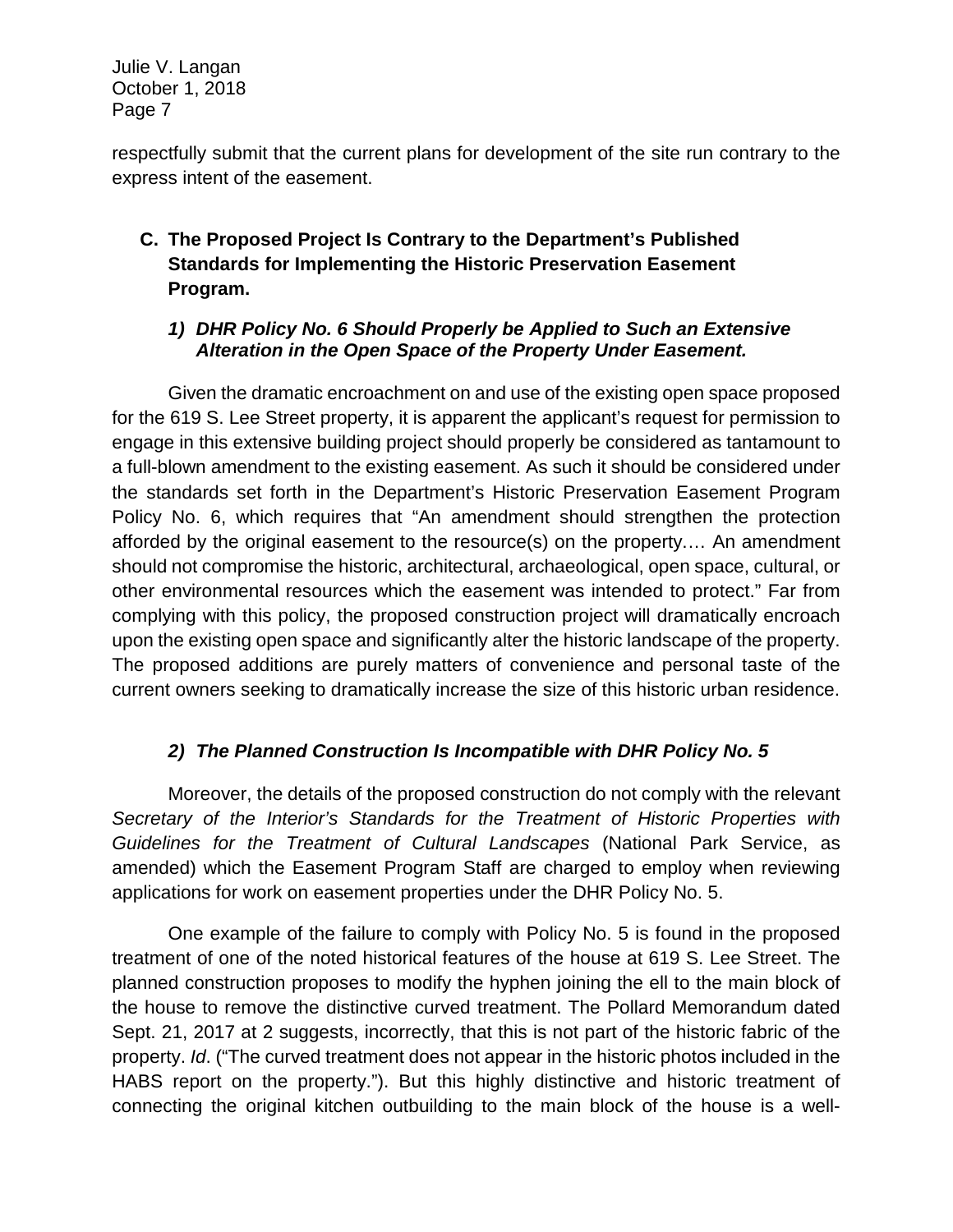respectfully submit that the current plans for development of the site run contrary to the express intent of the easement.

# **C. The Proposed Project Is Contrary to the Department's Published Standards for Implementing the Historic Preservation Easement Program.**

#### *1) DHR Policy No. 6 Should Properly be Applied to Such an Extensive Alteration in the Open Space of the Property Under Easement.*

Given the dramatic encroachment on and use of the existing open space proposed for the 619 S. Lee Street property, it is apparent the applicant's request for permission to engage in this extensive building project should properly be considered as tantamount to a full-blown amendment to the existing easement. As such it should be considered under the standards set forth in the Department's Historic Preservation Easement Program Policy No. 6, which requires that "An amendment should strengthen the protection afforded by the original easement to the resource(s) on the property.… An amendment should not compromise the historic, architectural, archaeological, open space, cultural, or other environmental resources which the easement was intended to protect." Far from complying with this policy, the proposed construction project will dramatically encroach upon the existing open space and significantly alter the historic landscape of the property. The proposed additions are purely matters of convenience and personal taste of the current owners seeking to dramatically increase the size of this historic urban residence.

# *2) The Planned Construction Is Incompatible with DHR Policy No. 5*

Moreover, the details of the proposed construction do not comply with the relevant *Secretary of the Interior's Standards for the Treatment of Historic Properties with Guidelines for the Treatment of Cultural Landscapes* (National Park Service, as amended) which the Easement Program Staff are charged to employ when reviewing applications for work on easement properties under the DHR Policy No. 5.

One example of the failure to comply with Policy No. 5 is found in the proposed treatment of one of the noted historical features of the house at 619 S. Lee Street. The planned construction proposes to modify the hyphen joining the ell to the main block of the house to remove the distinctive curved treatment. The Pollard Memorandum dated Sept. 21, 2017 at 2 suggests, incorrectly, that this is not part of the historic fabric of the property. *Id*. ("The curved treatment does not appear in the historic photos included in the HABS report on the property."). But this highly distinctive and historic treatment of connecting the original kitchen outbuilding to the main block of the house is a well-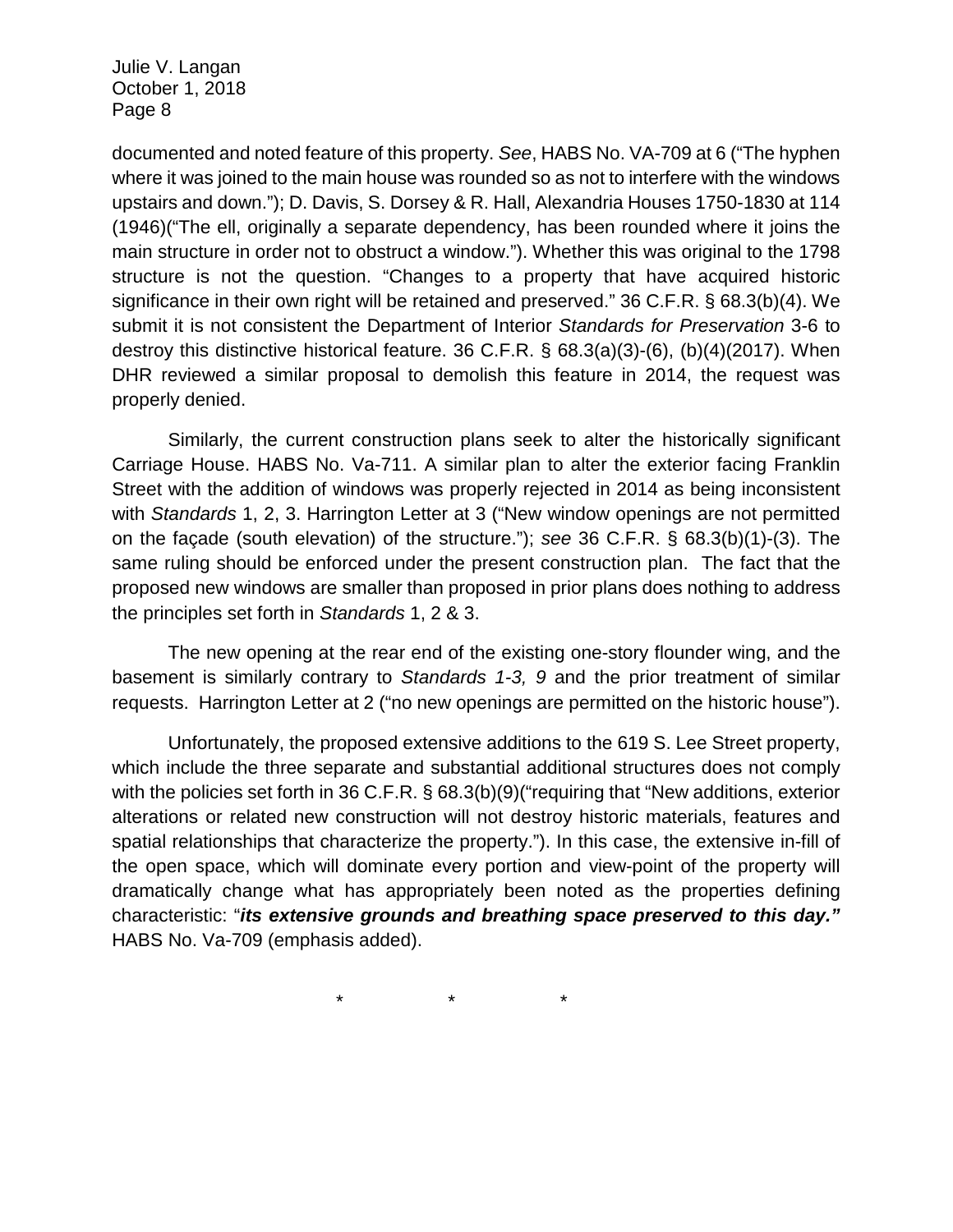documented and noted feature of this property. *See*, HABS No. VA-709 at 6 ("The hyphen where it was joined to the main house was rounded so as not to interfere with the windows upstairs and down."); D. Davis, S. Dorsey & R. Hall, Alexandria Houses 1750-1830 at 114 (1946)("The ell, originally a separate dependency, has been rounded where it joins the main structure in order not to obstruct a window."). Whether this was original to the 1798 structure is not the question. "Changes to a property that have acquired historic significance in their own right will be retained and preserved." 36 C.F.R. § 68.3(b)(4). We submit it is not consistent the Department of Interior *Standards for Preservation* 3-6 to destroy this distinctive historical feature. 36 C.F.R. § 68.3(a)(3)-(6), (b)(4)(2017). When DHR reviewed a similar proposal to demolish this feature in 2014, the request was properly denied.

Similarly, the current construction plans seek to alter the historically significant Carriage House. HABS No. Va-711. A similar plan to alter the exterior facing Franklin Street with the addition of windows was properly rejected in 2014 as being inconsistent with *Standards* 1, 2, 3. Harrington Letter at 3 ("New window openings are not permitted on the façade (south elevation) of the structure."); *see* 36 C.F.R. § 68.3(b)(1)-(3). The same ruling should be enforced under the present construction plan. The fact that the proposed new windows are smaller than proposed in prior plans does nothing to address the principles set forth in *Standards* 1, 2 & 3.

The new opening at the rear end of the existing one-story flounder wing, and the basement is similarly contrary to *Standards 1-3, 9* and the prior treatment of similar requests. Harrington Letter at 2 ("no new openings are permitted on the historic house").

Unfortunately, the proposed extensive additions to the 619 S. Lee Street property, which include the three separate and substantial additional structures does not comply with the policies set forth in 36 C.F.R. § 68.3(b)(9)("requiring that "New additions, exterior alterations or related new construction will not destroy historic materials, features and spatial relationships that characterize the property."). In this case, the extensive in-fill of the open space, which will dominate every portion and view-point of the property will dramatically change what has appropriately been noted as the properties defining characteristic: "*its extensive grounds and breathing space preserved to this day."* HABS No. Va-709 (emphasis added).

\* \* \*